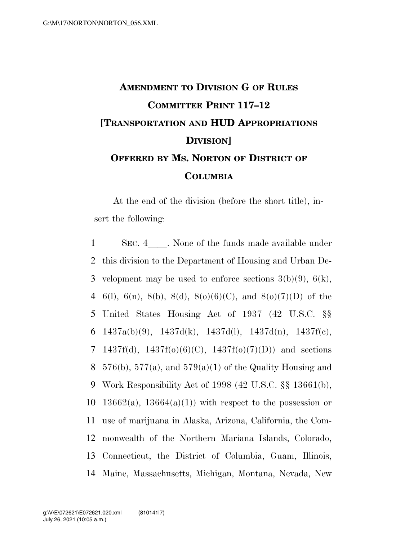## **AMENDMENT TO DIVISION G OF RULES COMMITTEE PRINT 117–12 [TRANSPORTATION AND HUD APPROPRIATIONS DIVISION] OFFERED BY MS. NORTON OF DISTRICT OF COLUMBIA**

At the end of the division (before the short title), insert the following:

1 SEC. 4 None of the funds made available under 2 this division to the Department of Housing and Urban De-3 velopment may be used to enforce sections  $3(b)(9)$ ,  $6(k)$ , 4 6(1), 6(n), 8(b), 8(d), 8(o)(6)(C), and 8(o)(7)(D) of the 5 United States Housing Act of 1937 (42 U.S.C. §§ 6 1437a(b)(9), 1437d(k), 1437d(l), 1437d(n), 1437f(c), 7 1437f(d),  $1437f(0)(6)(C)$ ,  $1437f(0)(7)(D)$  and sections 8 576(b), 577(a), and 579(a)(1) of the Quality Housing and 9 Work Responsibility Act of 1998 (42 U.S.C. §§ 13661(b), 10 13662(a), 13664(a)(1)) with respect to the possession or 11 use of marijuana in Alaska, Arizona, California, the Com-12 monwealth of the Northern Mariana Islands, Colorado, 13 Connecticut, the District of Columbia, Guam, Illinois, 14 Maine, Massachusetts, Michigan, Montana, Nevada, New